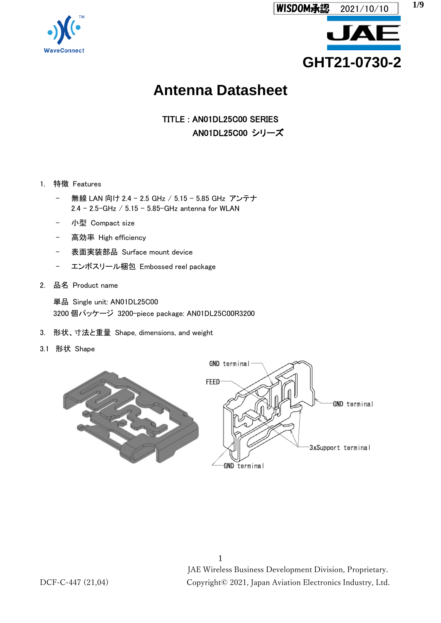



# **Antenna Datasheet**

TITLE : AN01DL25C00 SERIES AN01DL25C00 シリーズ

#### 1. 特徴 Features

- 無線 LAN 向け 2.4 2.5 GHz / 5.15 5.85 GHz アンテナ 2.4 – 2.5-GHz / 5.15 – 5.85-GHz antenna for WLAN
- 小型 Compact size
- 高効率 High efficiency
- 表面実装部品 Surface mount device
- エンボスリール梱包 Embossed reel package
- 2. 品名 Product name

単品 Single unit: AN01DL25C00 3200 個パッケージ 3200-piece package: AN01DL25C00R3200

- 3. 形状、寸法と重量 Shape, dimensions, and weight
- 3.1 形状 Shape

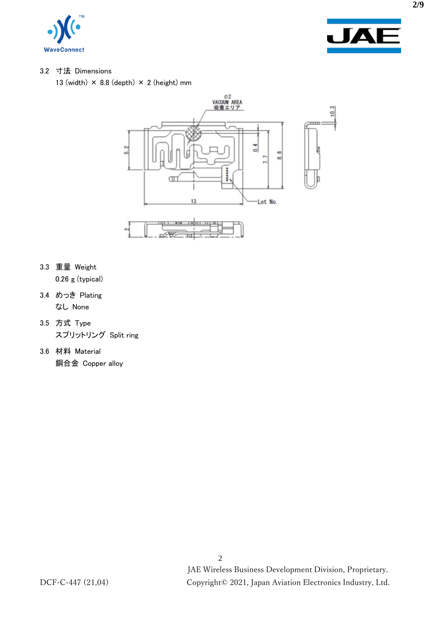



#### 3.2 寸法 Dimensions

13 (width)  $\times$  8.8 (depth)  $\times$  2 (height) mm



- 3.3 重量 Weight 0.26 g (typical)
- 3.4 めっき Plating なし None
- 3.5 方式 Type スプリットリング Split ring
- 3.6 材料 Material 銅合金 Copper alloy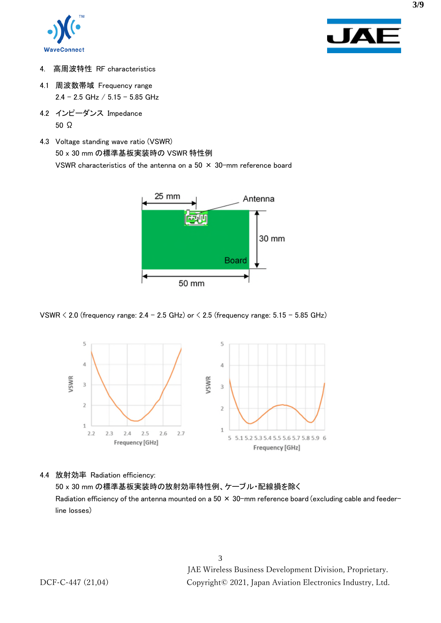



- 4. 高周波特性 RF characteristics
- 4.1 周波数帯域 Frequency range  $2.4 - 2.5$  GHz  $/ 5.15 - 5.85$  GHz
- 4.2 インピーダンス Impedance 50 Ω
- 4.3 Voltage standing wave ratio (VSWR) 50 x 30 mm の標準基板実装時の VSWR 特性例 VSWR characteristics of the antenna on a  $50 \times 30$ -mm reference board



VSWR  $\leq$  2.0 (frequency range: 2.4 – 2.5 GHz) or  $\leq$  2.5 (frequency range: 5.15 – 5.85 GHz)



4.4 放射効率 Radiation efficiency:

50 x 30 mm の標準基板実装時の放射効率特性例、ケーブル・配線損を除く Radiation efficiency of the antenna mounted on a  $50 \times 30$ -mm reference board (excluding cable and feederline losses)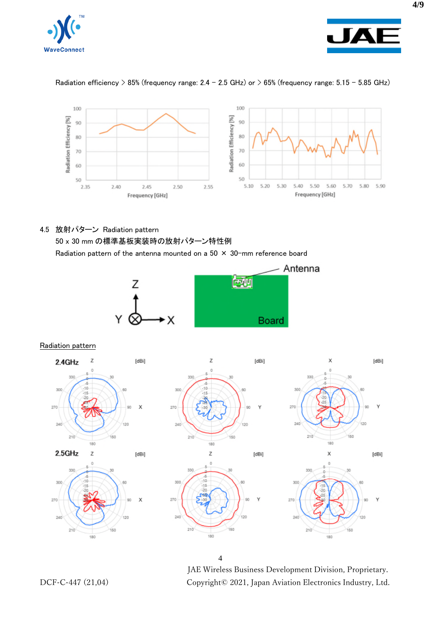



## Radiation efficiency > 85% (frequency range: 2.4 – 2.5 GHz) or > 65% (frequency range: 5.15 – 5.85 GHz)



# 4.5 放射パターン Radiation pattern

50 x 30 mm の標準基板実装時の放射パターン特性例

Radiation pattern of the antenna mounted on a  $50 \times 30$ -mm reference board



Radiation pattern



4

JAE Wireless Business Development Division, Proprietary. DCF-C-447 (21,04) Copyright© 2021, Japan Aviation Electronics Industry, Ltd.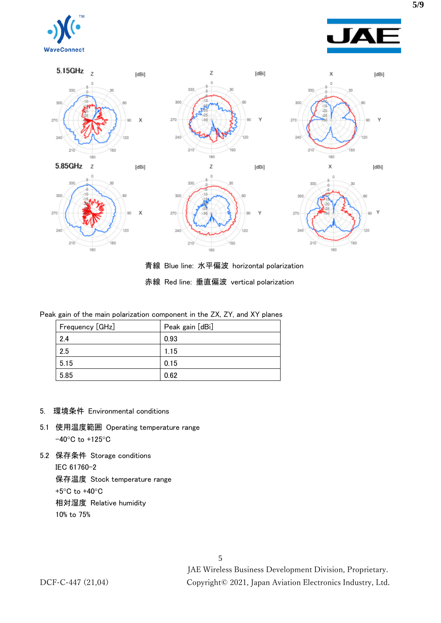





青線 Blue line: 水平偏波 horizontal polarization 赤線 Red line: 垂直偏波 vertical polarization

| Peak gain of the main polarization component in the ZX, ZY, and XY planes |
|---------------------------------------------------------------------------|
|---------------------------------------------------------------------------|

| Frequency [GHz] | Peak gain [dBi] |
|-----------------|-----------------|
| 2.4             | 0.93            |
| 2.5             | 1.15            |
| 5.15            | 0.15            |
| 5.85            | 0.62            |

- 5. 環境条件 Environmental conditions
- 5.1 使用温度範囲 Operating temperature range -40°C to +125°C
- 5.2 保存条件 Storage conditions IEC 61760-2 保存温度 Stock temperature range +5°C to +40°C 相対湿度 Relative humidity 10% to 75%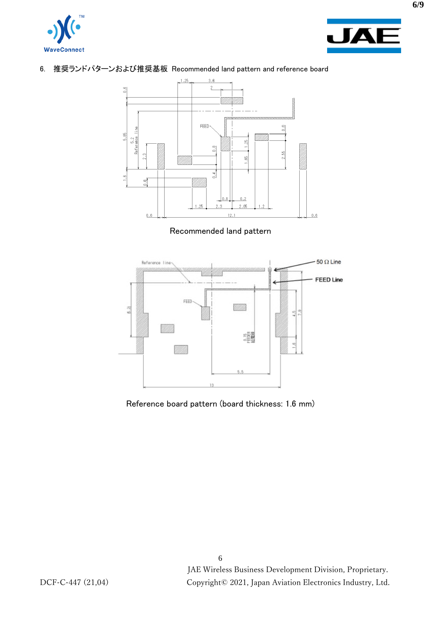



# 6. 推奨ランドパターンおよび推奨基板 Recommended land pattern and reference board



#### Recommended land pattern



Reference board pattern (board thickness: 1.6 mm)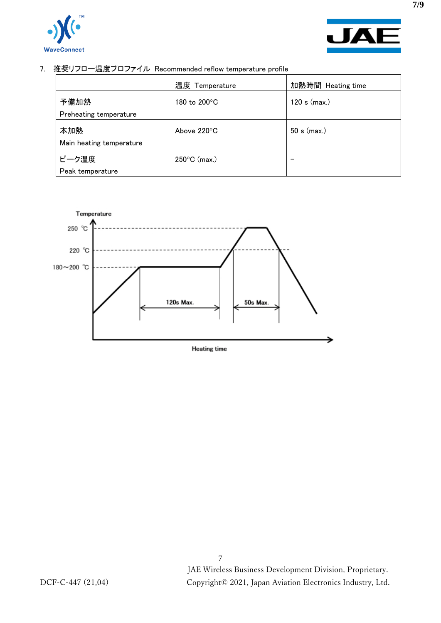



7. 推奨リフロー温度プロファイル Recommended reflow temperature profile

|                          | 温度 Temperature        | 加熱時間 Heating time |
|--------------------------|-----------------------|-------------------|
| 予備加熱                     | 180 to 200°C          | 120 s (max.)      |
| Preheating temperature   |                       |                   |
| 本加熱                      | Above $220^{\circ}$ C | $50 s$ (max.)     |
| Main heating temperature |                       |                   |
| ピーク温度                    | 250°C (max.)          |                   |
| Peak temperature         |                       |                   |



**7/9**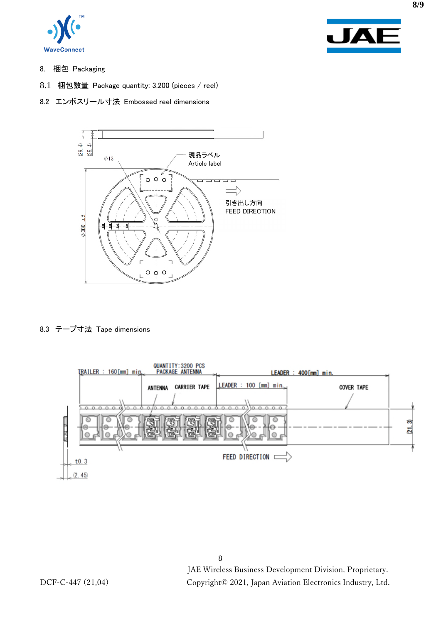



- 8. 梱包 Packaging
- 8.1 梱包数量 Package quantity: 3,200 (pieces / reel)
- 8.2 エンボスリール寸法 Embossed reel dimensions



## 8.3 テープ寸法 Tape dimensions



**8/9**